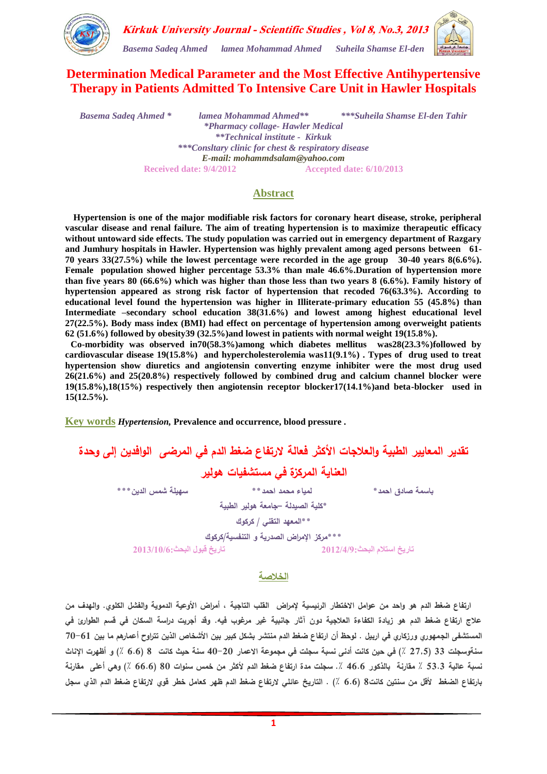

## **Determination Medical Parameter and the Most Effective Antihypertensive Therapy in Patients Admitted To Intensive Care Unit in Hawler Hospitals**

*Basema Sadeq Ahmed \* lamea Mohammad Ahmed\*\* \*\*\*Suheila Shamse El-den Tahir \*Pharmacy collage- Hawler Medical \*\*Technical institute - Kirkuk \*\*\*Consltary clinic for chest & respiratory disease E-mail: mohammdsalam@yahoo.com* **Received date: 9/4/2012 Accepted date: 6/10/2013**

#### **Abstract**

 **Hypertension is one of the major modifiable risk factors for coronary heart disease, stroke, peripheral vascular disease and renal failure. The aim of treating hypertension is to maximize therapeutic efficacy without untoward side effects. The study population was carried out in emergency department of Razgary and Jumhury hospitals in Hawler. Hypertension was highly prevalent among aged persons between 61- 70 years 33(27.5%) while the lowest percentage were recorded in the age group 30-40 years 8(6.6%). Female population showed higher percentage 53.3% than male 46.6%.Duration of hypertension more than five years 80 (66.6%) which was higher than those less than two years 8 (6.6%). Family history of hypertension appeared as strong risk factor of hypertension that recoded 76(63.3%). According to educational level found the hypertension was higher in Illiterate-primary education 55 (45.8%) than Intermediate –secondary school education 38(31.6%) and lowest among highest educational level 27(22.5%). Body mass index (BMI) had effect on percentage of hypertension among overweight patients 62 (51.6%) followed by obesity39 (32.5%)and lowest in patients with normal weight 19(15.8%).**

 **Co-morbidity was observed in70(58.3%)among which diabetes mellitus was28(23.3%)followed by cardiovascular disease 19(15.8%) and hypercholesterolemia was11(9.1%) . Types of drug used to treat hypertension show diuretics and angiotensin converting enzyme inhibiter were the most drug used 26(21.6%) and 25(20.8%) respectively followed by combined drug and calcium channel blocker were 19(15.8%),18(15%) respectively then angiotensin receptor blocker17(14.1%)and beta-blocker used in 15(12.5%).**

**Key words** *Hypertension,* **Prevalence and occurrence, blood pressure .**

## **تقدير المعايير الطبية والعالجات األكثر فعالة الرتفاع ضغط الدم في المرضى الوافدين إلى وحدة العناية المركزة في مستشفيات هولير باسمة صادق احمد\* لمياء محمد احمد\*\* سهيمة شمس الدين\*\*\* \*كمية الصيدلة –جامعة هولير الطبية \*\*المعهد التقني / كركوك \*\*\*مركز اإلمراض الصدرية و التنفسية/كركوك تاريخ استالم البحث2102/4/9: تاريخ قبول البحث2102/01/6:**

**الخالصة**

ارتفاع **ضغط الدم هو واحد من عوامل الاختطا**ر الرئيسية لإمراض القلب التاجية ، أمراض الأوعية الدموية والفشل الكلوي. والهدف من **عالج ارتفاع ضغط الدم هو زيادة الكفاءة العالجية دون آثار جانبية غير مرغوب فيه. وقد أجريت دراسة السكان في قسم الطوارئ في المستشفى الجمهوري ورزكاري في اربيل . لوحظ أن ارتفاع ضغط الدم منتشر بشكل كبير بين األشخاص الذين تتراوح أعمارهم ما بين 70-61 سنةوسجمت 33 )2775 ٪( في حين كانت أدنى نسبة سجمت في مجموعة االعمار 40-20 سنة حيث كانت 8 )6.6 ٪( و أظهرت اإلناث نسبة عالية 53.3 ٪ مقارنة بالذكور 46.6 .٪ سجمت مدة ارتفاع ضغط الدم ألكثر من خمس سنوات 80 )66.6 ٪( وهي أعمى مقارنة بارتفاع الضغط ألقل من سنتين كانت8 )6.6 ٪( . التاريخ عائمي الرتفاع ضغط الدم ظهر كعامل خطر قوي الرتفاع ضغط الدم الذي سجل**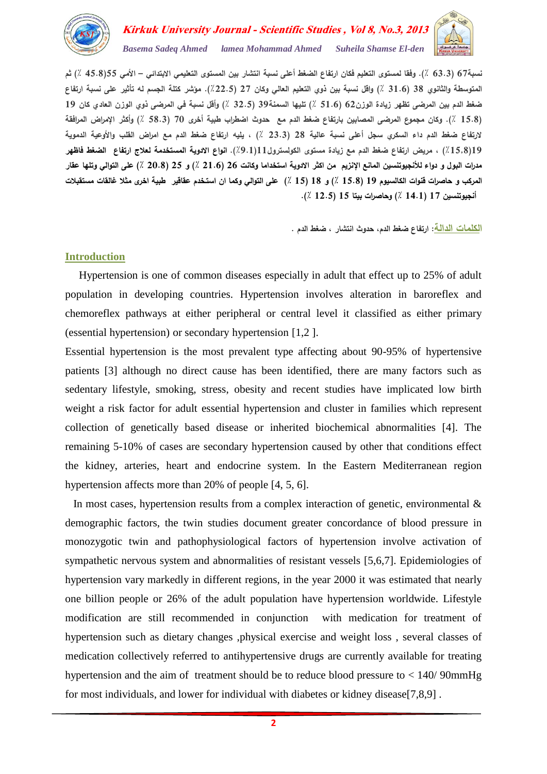

# Kirkuk University Journal - Scientific Studies, Vol 8, No.3, 2013 *Basema Sadeq Ahmed lamea Mohammad Ahmed Suheila Shamse El-den*

**نسبة67 )63.3 ٪(. وفقا لمستوى التعميم فكان ارتفاع الضغط أعمى نسبة انتشار بين المستوى التعميمي االبتدائي – األمي 55)45.8 ٪( ثم المتوسطة والثانوي 38 )31.6 ٪( واقل نسبة بين ذوي التعميم العالي وكان 27 )٪22.5(. مؤشر كتمة الجسم له تأثير عمى نسبة ارتفاع ضغط الدم بين المرضى تظهر زيادة الوزن62 )51.6 ٪( تميها السمنة39 )32.5 ٪( وأقل نسبة في المرضى ذوي الوزن العادي كان 19 )15.8 ٪(. وكان مجموع المرضى المصابين بارتفاع ضغط الدم مع حدوث اضطراب طبية أخرى 70 )58.3 ٪( وأكثر اإلمراض المرافقة الرتفاع ضغط الدم داء السكري سجل أعمى نسبة عالية 28 )23.3 ٪( ، يميه ارتفاع ضغط الدم مع امراض القمب واألوعية الدموية 19)٪1578( ، مريض ارتفاع ضغط الدم مع زيادة مستوى الكولسترول11)٪9.1(. انواع االدوية المستخدمة لعالج ارتفاع الضغط فاظهر مدرات البول و دواء لألنجيوتنسين المانع اإلنزيم من اكثر االدوية استخداما وكانت 26 )21.6 ٪( و 25 )20.8 ٪( عمى التوالي وتمها عقار المركب و حاصرات قنوات الكالسيوم 19 )15.8 ٪( و 18 )15 ٪( عمى التوالي وكما ان استـخدم عقاقير طبية اخرى مثال غالقات مستقبالت أنجيوتنسين 17 )14.1 ٪( وحاصرات بيتا 15 )12.5 ٪(.** 

**الكممات الدالة: ارتفاع ضغط الدم، حدوث انتشار ، ضغط الدم .**

### **Introduction**

 Hypertension is one of common diseases especially in adult that effect up to 25% of adult population in developing countries. Hypertension involves alteration in baroreflex and chemoreflex pathways at either peripheral or central level it classified as either primary (essential hypertension) or secondary hypertension [1,2 ].

Essential hypertension is the most prevalent type affecting about 90-95% of hypertensive patients [3] although no direct cause has been identified, there are many factors such as sedentary lifestyle, smoking, stress, obesity and recent studies have implicated low birth weight a risk factor for adult essential hypertension and cluster in families which represent collection of genetically based disease or inherited biochemical abnormalities [4]. The remaining 5-10% of cases are secondary hypertension caused by other that conditions effect the kidney, arteries, heart and endocrine system. In the Eastern Mediterranean region hypertension affects more than 20% of people [4, 5, 6].

In most cases, hypertension results from a complex interaction of genetic, environmental  $\&$ demographic factors, the twin studies document greater concordance of blood pressure in monozygotic twin and pathophysiological factors of hypertension involve activation of sympathetic nervous system and abnormalities of resistant vessels [5,6,7]. Epidemiologies of hypertension vary markedly in different regions, in the year 2000 it was estimated that nearly one billion people or 26% of the adult population have hypertension worldwide. Lifestyle modification are still recommended in conjunction with medication for treatment of hypertension such as dietary changes ,physical exercise and weight loss , several classes of medication collectively referred to antihypertensive drugs are currently available for treating hypertension and the aim of treatment should be to reduce blood pressure to < 140/ 90mmHg for most individuals, and lower for individual with diabetes or kidney disease[7,8,9] .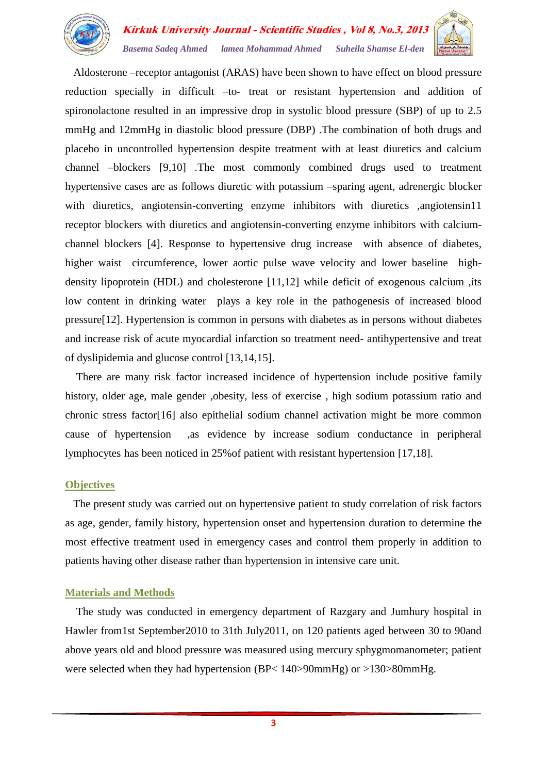

 Aldosterone –receptor antagonist (ARAS) have been shown to have effect on blood pressure reduction specially in difficult –to- treat or resistant hypertension and addition of spironolactone resulted in an impressive drop in systolic blood pressure (SBP) of up to 2.5 mmHg and 12mmHg in diastolic blood pressure (DBP) .The combination of both drugs and placebo in uncontrolled hypertension despite treatment with at least diuretics and calcium channel –blockers [9,10] .The most commonly combined drugs used to treatment hypertensive cases are as follows diuretic with potassium –sparing agent, adrenergic blocker with diuretics, angiotensin-converting enzyme inhibitors with diuretics ,angiotensin11 receptor blockers with diuretics and angiotensin-converting enzyme inhibitors with calciumchannel blockers [4]. Response to hypertensive drug increase with absence of diabetes, higher waist circumference, lower aortic pulse wave velocity and lower baseline highdensity lipoprotein (HDL) and cholesterone [11,12] while deficit of exogenous calcium ,its low content in drinking water plays a key role in the pathogenesis of increased blood pressure[12]. Hypertension is common in persons with diabetes as in persons without diabetes and increase risk of acute myocardial infarction so treatment need- antihypertensive and treat of dyslipidemia and glucose control [13,14,15].

 There are many risk factor increased incidence of hypertension include positive family history, older age, male gender ,obesity, less of exercise , high sodium potassium ratio and chronic stress factor[16] also epithelial sodium channel activation might be more common cause of hypertension ,as evidence by increase sodium conductance in peripheral lymphocytes has been noticed in 25%of patient with resistant hypertension [17,18].

#### **Objectives**

 The present study was carried out on hypertensive patient to study correlation of risk factors as age, gender, family history, hypertension onset and hypertension duration to determine the most effective treatment used in emergency cases and control them properly in addition to patients having other disease rather than hypertension in intensive care unit.

#### **Materials and Methods**

 The study was conducted in emergency department of Razgary and Jumhury hospital in Hawler from1st September2010 to 31th July2011, on 120 patients aged between 30 to 90and above years old and blood pressure was measured using mercury sphygmomanometer; patient were selected when they had hypertension (BP< 140>90mmHg) or >130>80mmHg.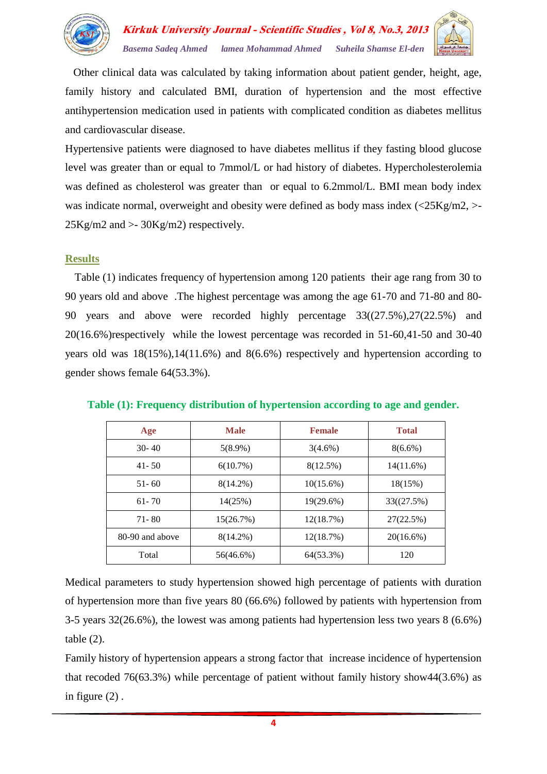

 Other clinical data was calculated by taking information about patient gender, height, age, family history and calculated BMI, duration of hypertension and the most effective antihypertension medication used in patients with complicated condition as diabetes mellitus and cardiovascular disease.

Hypertensive patients were diagnosed to have diabetes mellitus if they fasting blood glucose level was greater than or equal to 7mmol/L or had history of diabetes. Hypercholesterolemia was defined as cholesterol was greater than or equal to 6.2mmol/L. BMI mean body index was indicate normal, overweight and obesity were defined as body mass index (<25Kg/m2, >-  $25\text{Kg/m2}$  and  $>30\text{Kg/m2}$  respectively.

## **Results**

 Table (1) indicates frequency of hypertension among 120 patients their age rang from 30 to 90 years old and above .The highest percentage was among the age 61-70 and 71-80 and 80- 90 years and above were recorded highly percentage 33((27.5%),27(22.5%) and 20(16.6%)respectively while the lowest percentage was recorded in 51-60,41-50 and 30-40 years old was 18(15%),14(11.6%) and 8(6.6%) respectively and hypertension according to gender shows female 64(53.3%).

| Age             | <b>Male</b> | <b>Female</b> | <b>Total</b> |
|-----------------|-------------|---------------|--------------|
| $30-40$         | $5(8.9\%)$  | $3(4.6\%)$    | $8(6.6\%)$   |
| $41 - 50$       | 6(10.7%)    | 8(12.5%)      | 14(11.6%)    |
| $51 - 60$       | $8(14.2\%)$ | $10(15.6\%)$  | 18(15%)      |
| $61 - 70$       | 14(25%)     | 19(29.6%)     | 33((27.5%)   |
| $71 - 80$       | 15(26.7%)   | 12(18.7%)     | 27(22.5%)    |
| 80-90 and above | $8(14.2\%)$ | 12(18.7%)     | 20(16.6%)    |
| Total           | 56(46.6%)   | 64(53.3%)     | 120          |

#### **Table (1): Frequency distribution of hypertension according to age and gender.**

Medical parameters to study hypertension showed high percentage of patients with duration of hypertension more than five years 80 (66.6%) followed by patients with hypertension from 3-5 years 32(26.6%), the lowest was among patients had hypertension less two years 8 (6.6%) table (2).

Family history of hypertension appears a strong factor that increase incidence of hypertension that recoded 76(63.3%) while percentage of patient without family history show44(3.6%) as in figure (2) .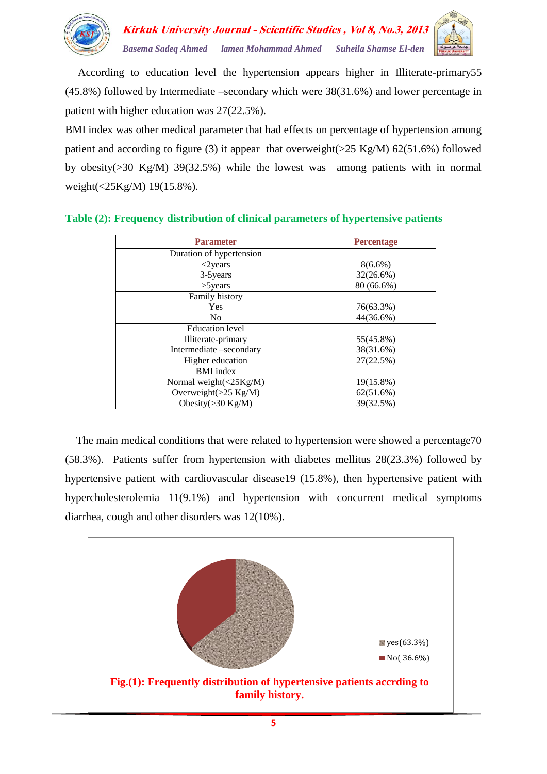

 According to education level the hypertension appears higher in Illiterate-primary55 (45.8%) followed by Intermediate –secondary which were 38(31.6%) and lower percentage in patient with higher education was 27(22.5%).

BMI index was other medical parameter that had effects on percentage of hypertension among patient and according to figure (3) it appear that overweight( $>25$  Kg/M) 62(51.6%) followed by obesity(>30 Kg/M) 39(32.5%) while the lowest was among patients with in normal weight(<25Kg/M) 19(15.8%).

| <b>Parameter</b>                | <b>Percentage</b> |  |
|---------------------------------|-------------------|--|
| Duration of hypertension        |                   |  |
| $<$ 2 years                     | $8(6.6\%)$        |  |
| 3-5 years                       | 32(26.6%)         |  |
| $>5$ years                      | 80 (66.6%)        |  |
| Family history                  |                   |  |
| <b>Yes</b>                      | 76(63.3%)         |  |
| N <sub>0</sub>                  | 44(36.6%)         |  |
| <b>Education</b> level          |                   |  |
| Illiterate-primary              | 55(45.8%)         |  |
| Intermediate –secondary         | 38(31.6%)         |  |
| Higher education                | 27(22.5%)         |  |
| <b>BMI</b> index                |                   |  |
| Normal weight $(<25Kg/M)$       | 19(15.8%)         |  |
| Overweight $(>25 \text{ Kg/M})$ | 62(51.6%)         |  |
| Obesity $(>30 \text{ Kg/M})$    | 39(32.5%)         |  |

## **Table (2): Frequency distribution of clinical parameters of hypertensive patients**

 The main medical conditions that were related to hypertension were showed a percentage70 (58.3%). Patients suffer from hypertension with diabetes mellitus 28(23.3%) followed by hypertensive patient with cardiovascular disease19 (15.8%), then hypertensive patient with hypercholesterolemia 11(9.1%) and hypertension with concurrent medical symptoms diarrhea, cough and other disorders was 12(10%).

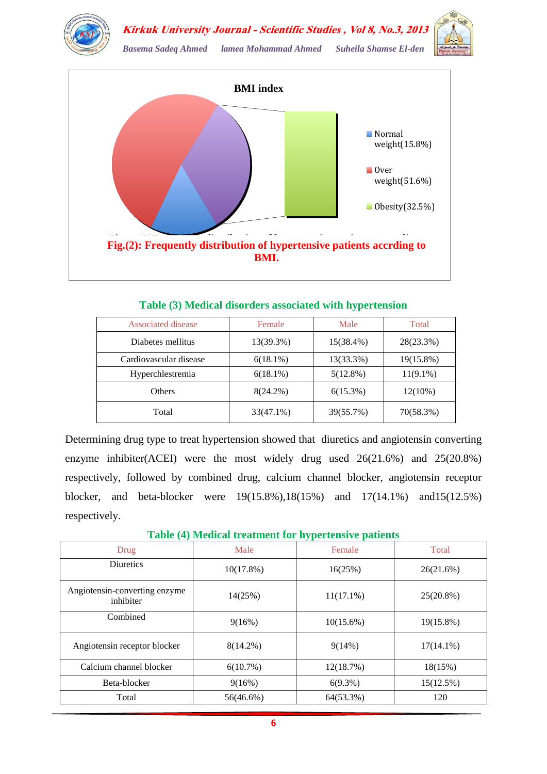



*Basema Sadeq Ahmed lamea Mohammad Ahmed Suheila Shamse El-den* 



**Table (3) Medical disorders associated with hypertension**

| Associated disease     | Female      | Male        | Total       |
|------------------------|-------------|-------------|-------------|
| Diabetes mellitus      | 13(39.3%)   | 15(38.4%)   | 28(23.3%)   |
| Cardiovascular disease | $6(18.1\%)$ | 13(33.3%)   | 19(15.8%)   |
| Hyperchlestremia       | $6(18.1\%)$ | $5(12.8\%)$ | $11(9.1\%)$ |
| Others                 | $8(24.2\%)$ | 6(15.3%)    | $12(10\%)$  |
| Total                  | 33(47.1%)   | 39(55.7%)   | 70(58.3%)   |

Determining drug type to treat hypertension showed that diuretics and angiotensin converting enzyme inhibiter(ACEI) were the most widely drug used 26(21.6%) and 25(20.8%) respectively, followed by combined drug, calcium channel blocker, angiotensin receptor blocker, and beta-blocker were 19(15.8%),18(15%) and 17(14.1%) and15(12.5%) respectively.

**Table (4) Medical treatment for hypertensive patients**

|                                            |              | . .          |              |
|--------------------------------------------|--------------|--------------|--------------|
| Drug                                       | Male         | Female       | Total        |
| <b>Diuretics</b>                           | $10(17.8\%)$ | 16(25%)      | 26(21.6%)    |
| Angiotensin-converting enzyme<br>inhibiter | 14(25%)      | $11(17.1\%)$ | $25(20.8\%)$ |
| Combined                                   | 9(16%)       | $10(15.6\%)$ | 19(15.8%)    |
| Angiotensin receptor blocker               | $8(14.2\%)$  | $9(14\%)$    | $17(14.1\%)$ |
| Calcium channel blocker                    | $6(10.7\%)$  | 12(18.7%)    | 18(15%)      |
| Beta-blocker                               | 9(16%)       | $6(9.3\%)$   | 15(12.5%)    |
| Total                                      | 56(46.6%)    | 64(53.3%)    | 120          |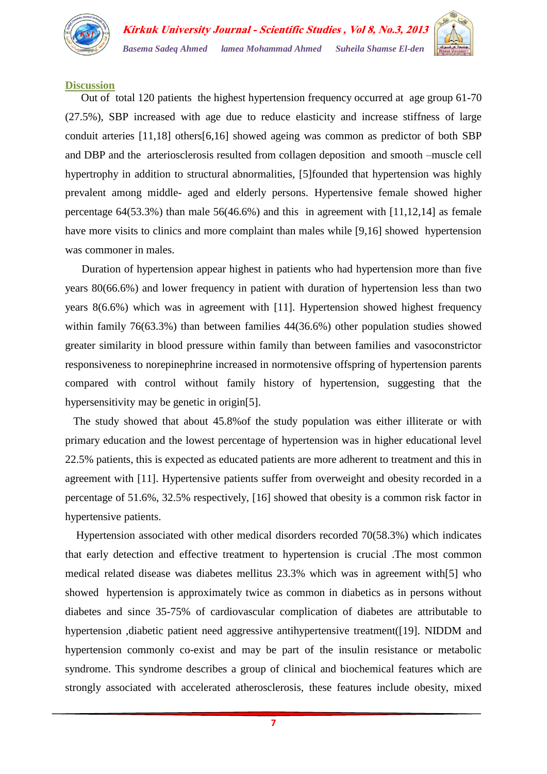

#### **Discussion**

 Out of total 120 patients the highest hypertension frequency occurred at age group 61-70 (27.5%), SBP increased with age due to reduce elasticity and increase stiffness of large conduit arteries [11,18] others[6,16] showed ageing was common as predictor of both SBP and DBP and the arteriosclerosis resulted from collagen deposition and smooth –muscle cell hypertrophy in addition to structural abnormalities, [5]founded that hypertension was highly prevalent among middle- aged and elderly persons. Hypertensive female showed higher percentage 64(53.3%) than male 56(46.6%) and this in agreement with [11,12,14] as female have more visits to clinics and more complaint than males while [9,16] showed hypertension was commoner in males.

 Duration of hypertension appear highest in patients who had hypertension more than five years 80(66.6%) and lower frequency in patient with duration of hypertension less than two years 8(6.6%) which was in agreement with [11]. Hypertension showed highest frequency within family 76(63.3%) than between families 44(36.6%) other population studies showed greater similarity in blood pressure within family than between families and vasoconstrictor responsiveness to norepinephrine increased in normotensive offspring of hypertension parents compared with control without family history of hypertension, suggesting that the hypersensitivity may be genetic in origin[5].

 The study showed that about 45.8%of the study population was either illiterate or with primary education and the lowest percentage of hypertension was in higher educational level 22.5% patients, this is expected as educated patients are more adherent to treatment and this in agreement with [11]. Hypertensive patients suffer from overweight and obesity recorded in a percentage of 51.6%, 32.5% respectively, [16] showed that obesity is a common risk factor in hypertensive patients.

 Hypertension associated with other medical disorders recorded 70(58.3%) which indicates that early detection and effective treatment to hypertension is crucial .The most common medical related disease was diabetes mellitus 23.3% which was in agreement with[5] who showed hypertension is approximately twice as common in diabetics as in persons without diabetes and since 35-75% of cardiovascular complication of diabetes are attributable to hypertension ,diabetic patient need aggressive antihypertensive treatment([19]. NIDDM and hypertension commonly co-exist and may be part of the insulin resistance or metabolic syndrome. This syndrome describes a group of clinical and biochemical features which are strongly associated with accelerated atherosclerosis, these features include obesity, mixed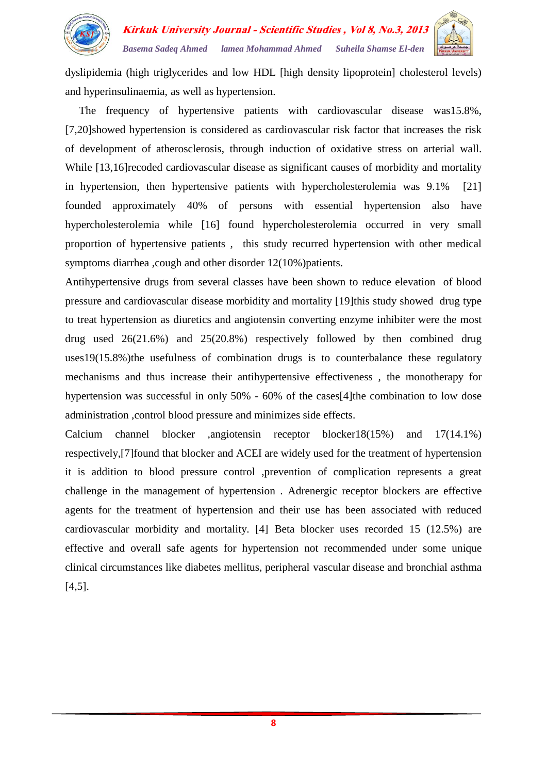

dyslipidemia (high triglycerides and low HDL [high density lipoprotein] cholesterol levels) and hyperinsulinaemia, as well as hypertension.

 The frequency of hypertensive patients with cardiovascular disease was15.8%, [7,20]showed hypertension is considered as cardiovascular risk factor that increases the risk of development of atherosclerosis, through induction of oxidative stress on arterial wall. While [13,16] recoded cardiovascular disease as significant causes of morbidity and mortality in hypertension, then hypertensive patients with hypercholesterolemia was 9.1% [21] founded approximately 40% of persons with essential hypertension also have hypercholesterolemia while [16] found hypercholesterolemia occurred in very small proportion of hypertensive patients , this study recurred hypertension with other medical symptoms diarrhea , cough and other disorder 12(10%) patients.

Antihypertensive drugs from several classes have been shown to reduce elevation of blood pressure and cardiovascular disease morbidity and mortality [19]this study showed drug type to treat hypertension as diuretics and angiotensin converting enzyme inhibiter were the most drug used 26(21.6%) and 25(20.8%) respectively followed by then combined drug uses19(15.8%)the usefulness of combination drugs is to counterbalance these regulatory mechanisms and thus increase their antihypertensive effectiveness , the monotherapy for hypertension was successful in only 50% - 60% of the cases[4]the combination to low dose administration ,control blood pressure and minimizes side effects.

Calcium channel blocker ,angiotensin receptor blocker18(15%) and 17(14.1%) respectively,[7]found that blocker and ACEI are widely used for the treatment of hypertension it is addition to blood pressure control ,prevention of complication represents a great challenge in the management of hypertension . Adrenergic receptor blockers are effective agents for the treatment of hypertension and their use has been associated with reduced cardiovascular morbidity and mortality. [4] Beta blocker uses recorded 15 (12.5%) are effective and overall safe agents for hypertension not recommended under some unique clinical circumstances like diabetes mellitus, peripheral vascular disease and bronchial asthma [4,5].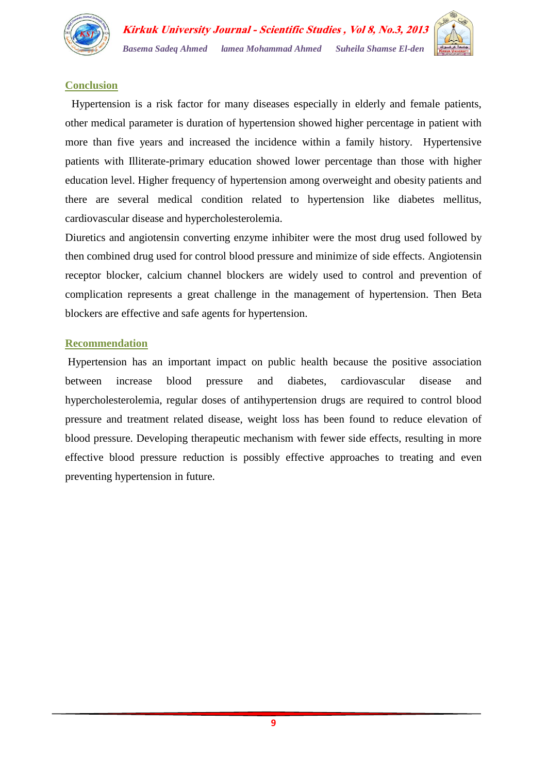



## **Conclusion**

 Hypertension is a risk factor for many diseases especially in elderly and female patients, other medical parameter is duration of hypertension showed higher percentage in patient with more than five years and increased the incidence within a family history. Hypertensive patients with Illiterate-primary education showed lower percentage than those with higher education level. Higher frequency of hypertension among overweight and obesity patients and there are several medical condition related to hypertension like diabetes mellitus, cardiovascular disease and hypercholesterolemia.

Diuretics and angiotensin converting enzyme inhibiter were the most drug used followed by then combined drug used for control blood pressure and minimize of side effects. Angiotensin receptor blocker, calcium channel blockers are widely used to control and prevention of complication represents a great challenge in the management of hypertension. Then Beta blockers are effective and safe agents for hypertension.

## **Recommendation**

Hypertension has an important impact on public health because the positive association between increase blood pressure and diabetes, cardiovascular disease and hypercholesterolemia, regular doses of antihypertension drugs are required to control blood pressure and treatment related disease, weight loss has been found to reduce elevation of blood pressure. Developing therapeutic mechanism with fewer side effects, resulting in more effective blood pressure reduction is possibly effective approaches to treating and even preventing hypertension in future.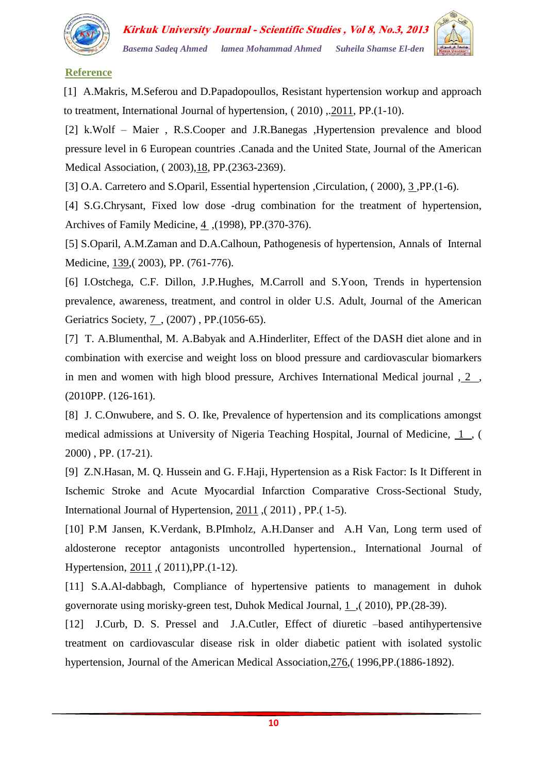

## **Reference**

[1] A.Makris, M.Seferou and D.Papadopoullos, Resistant hypertension workup and approach to treatment, International Journal of hypertension, ( 2010) ,.2011, PP.(1-10).

[2] k.Wolf – Maier , R.S.Cooper and J.R.Banegas ,Hypertension prevalence and blood pressure level in 6 European countries .Canada and the United State, Journal of the American Medical Association, ( 2003),18, PP.(2363-2369).

[3] O.A. Carretero and S.Oparil, Essential hypertension ,Circulation, (2000), 3, PP.(1-6).

[4] S.G.Chrysant, Fixed low dose -drug combination for the treatment of hypertension, Archives of Family Medicine, 4 , (1998), PP. (370-376).

[5] S.Oparil, A.M.Zaman and D.A.Calhoun, Pathogenesis of hypertension, Annals of Internal Medicine, 139,( 2003), PP. (761-776).

[6] I.Ostchega, C.F. Dillon, J.P.Hughes, M.Carroll and S.Yoon, Trends in hypertension prevalence, awareness, treatment, and control in older U.S. Adult, Journal of the American Geriatrics Society, 7 , (2007) , PP.(1056-65).

[7] T. A.Blumenthal, M. A.Babyak and A.Hinderliter, Effect of the DASH diet alone and in combination with exercise and weight loss on blood pressure and cardiovascular biomarkers in men and women with high blood pressure, Archives International Medical journal , 2 , (2010PP. (126-161).

[8] J. C.Onwubere, and S. O. Ike, Prevalence of hypertension and its complications amongst medical admissions at University of Nigeria Teaching Hospital, Journal of Medicine, 1 , ( 2000) , PP. (17-21).

[9] Z.N.Hasan, M. Q. Hussein and G. F.Haji, Hypertension as a Risk Factor: Is It Different in Ischemic Stroke and Acute Myocardial Infarction Comparative Cross-Sectional Study, International Journal of Hypertension, 2011 ,( 2011) , PP.( 1-5).

[10] P.M Jansen, K.Verdank, B.PImholz, A.H.Danser and A.H Van, Long term used of aldosterone receptor antagonists uncontrolled hypertension., International Journal of Hypertension, 2011 ,( 2011),PP.(1-12).

[11] S.A.Al-dabbagh, Compliance of hypertensive patients to management in duhok governorate using morisky-green test, Duhok Medical Journal, 1 ,( 2010), PP.(28-39).

[12] J.Curb, D. S. Pressel and J.A.Cutler, Effect of diuretic –based antihypertensive treatment on cardiovascular disease risk in older diabetic patient with isolated systolic hypertension, Journal of the American Medical Association,276,( 1996,PP.(1886-1892).